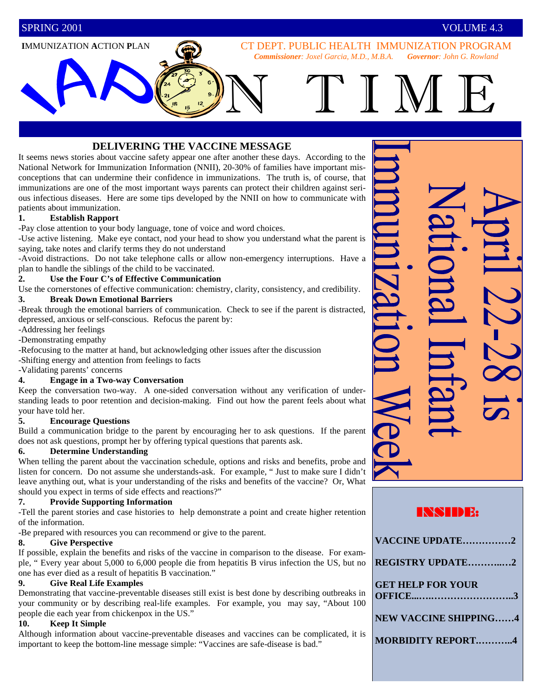#### **I**MMUNIZATION **A**CTION **P**LAN

CT DEPT. PUBLIC HEALTH IMMUNIZATION PROGRAM *Commissioner: Joxel Garcia, M.D., M.B.A. Governor: John G. Rowland*

N TIM E

### **DELIVERING THE VACCINE MESSAGE**

It seems news stories about vaccine safety appear one after another these days. According to the National Network for Immunization Information (NNII), 20-30% of families have important misconceptions that can undermine their confidence in immunizations. The truth is, of course, that immunizations are one of the most important ways parents can protect their children against serious infectious diseases. Here are some tips developed by the NNII on how to communicate with patients about immunization.

#### **1. Establish Rapport**

-Pay close attention to your body language, tone of voice and word choices.

-Use active listening. Make eye contact, nod your head to show you understand what the parent is saying, take notes and clarify terms they do not understand

-Avoid distractions. Do not take telephone calls or allow non-emergency interruptions. Have a plan to handle the siblings of the child to be vaccinated.

#### **2. Use the Four C's of Effective Communication**

Use the cornerstones of effective communication: chemistry, clarity, consistency, and credibility. **3. Break Down Emotional Barriers**

-Break through the emotional barriers of communication. Check to see if the parent is distracted, depressed, anxious or self-conscious. Refocus the parent by:

-Addressing her feelings

-Demonstrating empathy

-Refocusing to the matter at hand, but acknowledging other issues after the discussion

-Shifting energy and attention from feelings to facts

-Validating parents' concerns

#### **4. Engage in a Two-way Conversation**

Keep the conversation two-way. A one-sided conversation without any verification of understanding leads to poor retention and decision-making. Find out how the parent feels about what your have told her.

#### **5. Encourage Questions**

Build a communication bridge to the parent by encouraging her to ask questions. If the parent does not ask questions, prompt her by offering typical questions that parents ask.

#### **6. Determine Understanding**

When telling the parent about the vaccination schedule, options and risks and benefits, probe and listen for concern. Do not assume she understands-ask. For example, " Just to make sure I didn't leave anything out, what is your understanding of the risks and benefits of the vaccine? Or, What should you expect in terms of side effects and reactions?"

#### **7. Provide Supporting Information**

-Tell the parent stories and case histories to help demonstrate a point and create higher retention of the information.

-Be prepared with resources you can recommend or give to the parent.

#### **8. Give Perspective**

If possible, explain the benefits and risks of the vaccine in comparison to the disease. For example, " Every year about 5,000 to 6,000 people die from hepatitis B virus infection the US, but no one has ever died as a result of hepatitis B vaccination."

#### **9. Give Real Life Examples**

Demonstrating that vaccine-preventable diseases still exist is best done by describing outbreaks in your community or by describing real-life examples. For example, you may say, "About 100 people die each year from chickenpox in the US."

#### **10. Keep It Simple**

Although information about vaccine-preventable diseases and vaccines can be complicated, it is important to keep the bottom-line message simple: "Vaccines are safe-disease is bad."

## INSIDE:

| VACCINE UPDATE2              |
|------------------------------|
| <b>REGISTRY UPDATE2</b>      |
| <b>GET HELP FOR YOUR</b>     |
| <b>NEW VACCINE SHIPPING4</b> |
| <b>MORBIDITY REPORT4</b>     |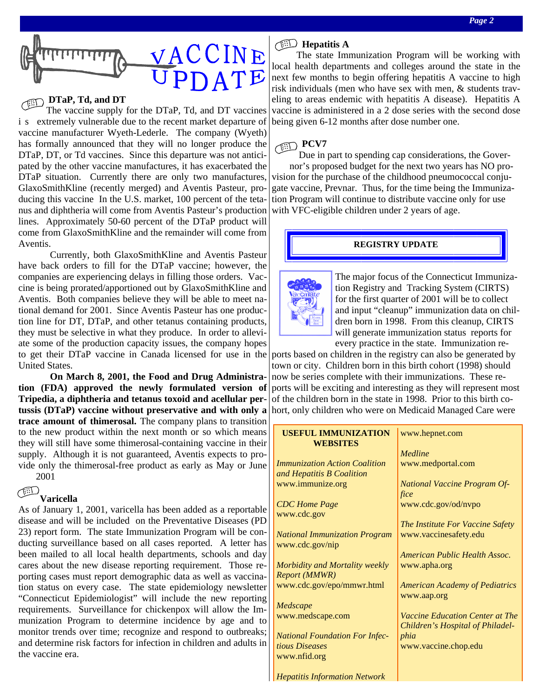

# **DTaP, Td, and DT**

The vaccine supply for the DTaP, Td, and DT vaccines i s extremely vulnerable due to the recent market departure of vaccine manufacturer Wyeth-Lederle. The company (Wyeth) has formally announced that they will no longer produce the DTaP, DT, or Td vaccines. Since this departure was not anticipated by the other vaccine manufactures, it has exacerbated the DTaP situation. Currently there are only two manufactures, GlaxoSmithKline (recently merged) and Aventis Pasteur, producing this vaccine In the U.S. market, 100 percent of the tetanus and diphtheria will come from Aventis Pasteur's production lines. Approximately 50-60 percent of the DTaP product will come from GlaxoSmithKline and the remainder will come from Aventis.

 Currently, both GlaxoSmithKline and Aventis Pasteur have back orders to fill for the DTaP vaccine; however, the companies are experiencing delays in filling those orders. Vaccine is being prorated/apportioned out by GlaxoSmithKline and Aventis. Both companies believe they will be able to meet national demand for 2001. Since Aventis Pasteur has one production line for DT, DTaP, and other tetanus containing products, they must be selective in what they produce. In order to alleviate some of the production capacity issues, the company hopes to get their DTaP vaccine in Canada licensed for use in the United States.

 **On March 8, 2001, the Food and Drug Administration (FDA) approved the newly formulated version of Tripedia, a diphtheria and tetanus toxoid and acellular pertussis (DTaP) vaccine without preservative and with only a trace amount of thimerosal.** The company plans to transition to the new product within the next month or so which means they will still have some thimerosal-containing vaccine in their supply. Although it is not guaranteed, Aventis expects to provide only the thimerosal-free product as early as May or June 2001

## د پن

#### **Varicella**

As of January 1, 2001, varicella has been added as a reportable disease and will be included on the Preventative Diseases (PD 23) report form. The state Immunization Program will be conducting surveillance based on all cases reported. A letter has been mailed to all local health departments, schools and day cares about the new disease reporting requirement. Those reporting cases must report demographic data as well as vaccination status on every case. The state epidemiology newsletter "Connecticut Epidemiologist" will include the new reporting requirements. Surveillance for chickenpox will allow the Immunization Program to determine incidence by age and to monitor trends over time; recognize and respond to outbreaks; and determine risk factors for infection in children and adults in the vaccine era.

#### **Hepatitis A**

The state Immunization Program will be working with local health departments and colleges around the state in the next few months to begin offering hepatitis A vaccine to high risk individuals (men who have sex with men, & students traveling to areas endemic with hepatitis A disease). Hepatitis A vaccine is administered in a 2 dose series with the second dose being given 6-12 months after dose number one.

# **PCV7**

Due in part to spending cap considerations, the Governor's proposed budget for the next two years has NO provision for the purchase of the childhood pneumococcal conjugate vaccine, Prevnar. Thus, for the time being the Immunization Program will continue to distribute vaccine only for use with VFC-eligible children under 2 years of age.

#### **REGISTRY UPDATE**



The major focus of the Connecticut Immunization Registry and Tracking System (CIRTS) for the first quarter of 2001 will be to collect and input "cleanup" immunization data on children born in 1998. From this cleanup, CIRTS will generate immunization status reports for every practice in the state. Immunization re-

ports based on children in the registry can also be generated by town or city. Children born in this birth cohort (1998) should now be series complete with their immunizations. These reports will be exciting and interesting as they will represent most of the children born in the state in 1998. Prior to this birth cohort, only children who were on Medicaid Managed Care were

| <b>USEFUL IMMUNIZATION</b><br><b>WEBSITES</b> | www.hepnet.com                        |
|-----------------------------------------------|---------------------------------------|
|                                               | Medline                               |
| <b>Immunization Action Coalition</b>          | www.medportal.com                     |
| and Hepatitis B Coalition                     |                                       |
| www.immunize.org                              | <b>National Vaccine Program Of-</b>   |
|                                               | fice                                  |
| <b>CDC</b> Home Page                          | www.cdc.gov/od/nvpo                   |
| www.cdc.gov                                   |                                       |
|                                               | The Institute For Vaccine Safety      |
| <b>National Immunization Program</b>          | www.vaccinesafety.edu                 |
| www.cdc.gov/nip                               |                                       |
|                                               | American Public Health Assoc.         |
| Morbidity and Mortality weekly                | www.apha.org                          |
| <b>Report (MMWR)</b>                          |                                       |
| www.cdc.gov/epo/mmwr.html                     | <b>American Academy of Pediatrics</b> |
|                                               | www.aap.org                           |
| Medscape                                      |                                       |
| www.medscape.com                              | Vaccine Education Center at The       |
|                                               | Children's Hospital of Philadel-      |
| <b>National Foundation For Infec-</b>         | phia                                  |
| tious Diseases                                | www.vaccine.chop.edu                  |
| www.nfid.org                                  |                                       |
|                                               |                                       |
| <b>Hepatitis Information Network</b>          |                                       |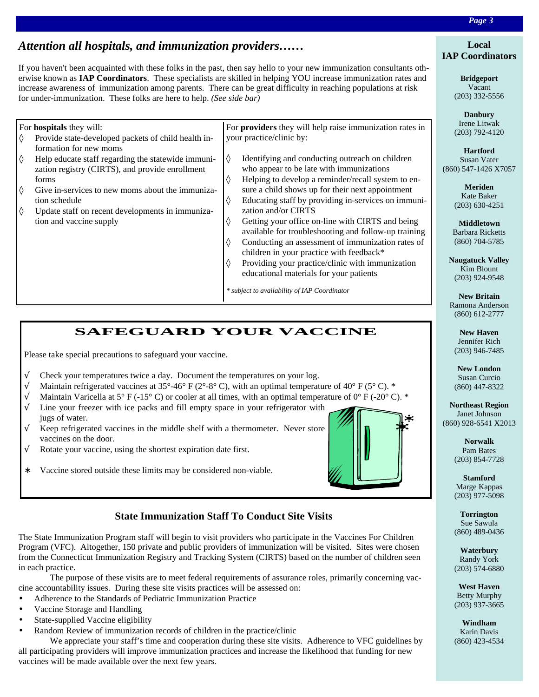## *Attention all hospitals, and immunization providers……*

If you haven't been acquainted with these folks in the past, then say hello to your new immunization consultants otherwise known as **IAP Coordinators**. These specialists are skilled in helping YOU increase immunization rates and increase awareness of immunization among parents. There can be great difficulty in reaching populations at risk for under-immunization. These folks are here to help. *(See side bar)*

| ♦                        | For <b>hospitals</b> they will:<br>Provide state-developed packets of child health in-<br>formation for new moms | For <b>providers</b> they will help raise immunization rates in<br>your practice/clinic by: |                                                                                                                                                   |  |
|--------------------------|------------------------------------------------------------------------------------------------------------------|---------------------------------------------------------------------------------------------|---------------------------------------------------------------------------------------------------------------------------------------------------|--|
| $\Diamond$               | Help educate staff regarding the statewide immuni-<br>zation registry (CIRTS), and provide enrollment<br>forms   | ♦<br>♦                                                                                      | Identifying and conducting outreach on children<br>who appear to be late with immunizations<br>Helping to develop a reminder/recall system to en- |  |
| $\Diamond$<br>$\Diamond$ | Give in-services to new moms about the immuniza-<br>tion schedule                                                | ♦                                                                                           | sure a child shows up for their next appointment<br>Educating staff by providing in-services on immuni-<br>zation and/or CIRTS                    |  |
|                          | Update staff on recent developments in immuniza-<br>tion and vaccine supply                                      | ♦                                                                                           | Getting your office on-line with CIRTS and being<br>available for troubleshooting and follow-up training                                          |  |
|                          |                                                                                                                  | ♦                                                                                           | Conducting an assessment of immunization rates of<br>children in your practice with feedback*                                                     |  |
|                          |                                                                                                                  | ♦                                                                                           | Providing your practice/clinic with immunization<br>educational materials for your patients                                                       |  |
|                          |                                                                                                                  |                                                                                             | * subject to availability of IAP Coordinator                                                                                                      |  |

# **SAFEGUARD YOUR VACCINE**

Please take special precautions to safeguard your vaccine.

- $\sqrt{\phantom{a}}$  Check your temperatures twice a day. Document the temperatures on your log.
- $\sqrt{\phantom{a}}$  Maintain refrigerated vaccines at 35°-46° F (2°-8° C), with an optimal temperature of 40° F (5° C). \*
- $\sqrt{\phantom{a}}$  Maintain Varicella at 5° F (-15° C) or cooler at all times, with an optimal temperature of 0° F (-20° C). \*
- $\sqrt{\phantom{a}}$  Line your freezer with ice packs and fill empty space in your refrigerator with jugs of water.
- $\sqrt{\phantom{a}}$  Keep refrigerated vaccines in the middle shelf with a thermometer. Never store vaccines on the door.
- $\sqrt{\phantom{a}}$  Rotate your vaccine, using the shortest expiration date first.
- ∗ Vaccine stored outside these limits may be considered non-viable.



The State Immunization Program staff will begin to visit providers who participate in the Vaccines For Children Program (VFC). Altogether, 150 private and public providers of immunization will be visited. Sites were chosen from the Connecticut Immunization Registry and Tracking System (CIRTS) based on the number of children seen in each practice.

 The purpose of these visits are to meet federal requirements of assurance roles, primarily concerning vaccine accountability issues. During these site visits practices will be assessed on:

- Adherence to the Standards of Pediatric Immunization Practice
- Vaccine Storage and Handling
- State-supplied Vaccine eligibility
- Random Review of immunization records of children in the practice/clinic

 We appreciate your staff's time and cooperation during these site visits. Adherence to VFC guidelines by all participating providers will improve immunization practices and increase the likelihood that funding for new vaccines will be made available over the next few years.

#### **Local IAP Coordinators**

**Bridgeport** Vacant (203) 332-5556

**Danbury** Irene Litwak (203) 792-4120

**Hartford** Susan Vater (860) 547-1426 X7057

> **Meriden** Kate Baker (203) 630-4251

**Middletown** Barbara Ricketts (860) 704-5785

**Naugatuck Valley** Kim Blount (203) 924-9548

**New Britain** Ramona Anderson (860) 612-2777

**New Haven** Jennifer Rich (203) 946-7485

**New London** Susan Curcio (860) 447-8322

**Northeast Region** Janet Johnson (860) 928-6541 X2013

> **Norwalk** Pam Bates (203) 854-7728

> **Stamford** Marge Kappas (203) 977-5098

> **Torrington** Sue Sawula (860) 489-0436

> **Waterbury** Randy York (203) 574-6880

> **West Haven** Betty Murphy (203) 937-3665

> **Windham** Karin Davis (860) 423-4534



# *Page 3*